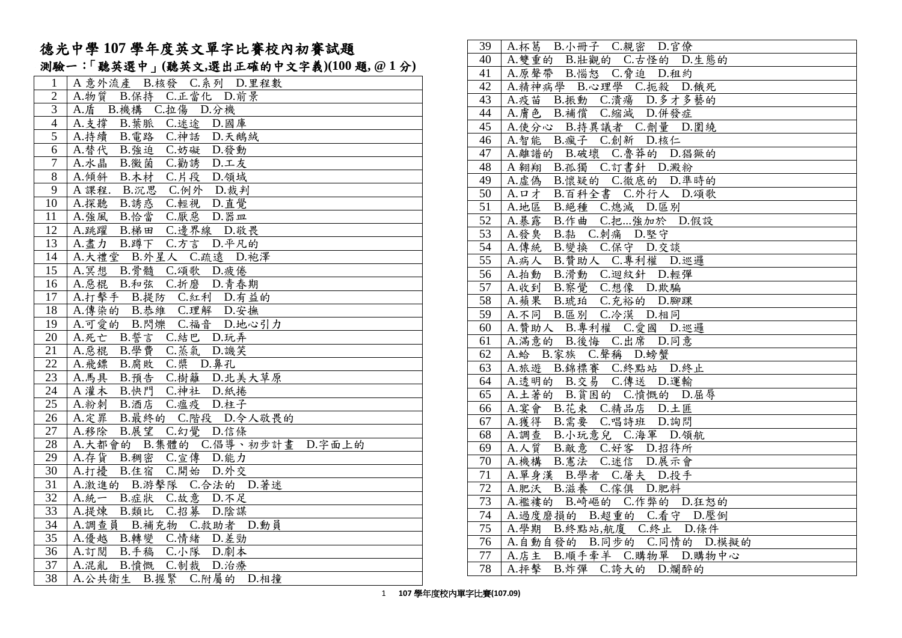|                 | 1870   十 107 十十久六人十十 10 1 14 13 17 17 17 18 18 18          |
|-----------------|------------------------------------------------------------|
|                 | 測驗一:「聽英選中」(聽英文,選出正確的中文字義)(100題, @1分)                       |
| $\mathbf{1}$    | A 意外流產<br>B.核發 C.系列 D.里程數                                  |
| $\mathbf{2}$    | B.保持 C.正當化 D.前景<br>A.物質                                    |
| $\overline{3}$  | C.拉傷 D.分機<br>A.盾<br>B. 機構                                  |
| $\overline{4}$  | A. 支撐<br>B. 葉脈<br>C.迷途 D.國庫                                |
| $\overline{5}$  | A.持續<br>B. 電路 C. 神話 D. 天鵝絨                                 |
| 6               | A.替代<br>B. 強迫 C. 妨礙 D. 發動                                  |
| $\overline{7}$  | $C.$ 勸誘<br>A.水晶<br>B. 黴菌<br>D.工友                           |
| $\overline{8}$  | A.傾斜 B.木材 C.片段 D.領域                                        |
| 9               | A 課程. B.沉思 C.例外 D.裁判                                       |
| 10              | A.探聽 B.誘惑 C.輕視 D.直覺                                        |
| 11              | A. 強風 B. 恰當<br>C. 厭惡 D. 器皿                                 |
| 12              | B.梯田 C.邊界線 D.敬畏<br>A.跳躍                                    |
| 13              | C.方言 D.平凡的<br>A. 盡力 B. 蹲下                                  |
| 14              | A.大禮堂 B.外星人 C.疏遠 D.袍澤                                      |
| 15              | A.冥想 B.骨髓 C.頌歌 D.疲倦                                        |
| 16              | A. 惡棍 B. 和弦 C. 折磨 D. 青春期                                   |
| 17              | A.打擊手 B.提防 C.紅利 D.有益的                                      |
| 18              | A.傳染的 B.恭維 C.理解 D.安撫                                       |
| 19              | A.可愛的 B.閃爍 C.福音 D.地心引力                                     |
| $20\,$          | A.死亡 B.誓言<br>C.結巴 D.玩弄                                     |
| 21              | B. 學費 C. 蒸氣 D. 譏笑<br>A.惡棍                                  |
| $\overline{22}$ | C. 槳 D. 鼻孔<br>A. 飛鏢<br>B.腐敗                                |
| $\overline{23}$ | B. 預告 C. 樹籬 D. 北美大草原<br>A.馬具                               |
| 24              | A 灌木 B.快門 C.神社 D.紙捲                                        |
| 25              | A.粉刺 B.酒店 C.瘟疫 D.柱子                                        |
| 26              | A.定罪 B.最終的 C.階段 D.令人敬畏的                                    |
| $27\,$<br>28    | A.移除<br>B.展望<br>C.幻覺 D.信條                                  |
| 29              | A.大都會的 B.集體的 C.倡導、初步計畫 D.字面上的<br>A.存貨<br>B. 稠密 C. 宣傳 D. 能力 |
| $\overline{30}$ | $\overline{C}$ .開始<br>A.打擾<br>B.住宿<br>D.外交                 |
| $\overline{31}$ | A.激進的 B.游擊隊 C.合法的 D.著迷                                     |
| 32              | A. 統一 B. 症狀 C. 故意 D. 不足                                    |
| 33              | A.提煉<br>$C.$ 招募<br>D.陰謀<br>B. 類比                           |
| $\overline{34}$ | A.調查員<br>B.補充物 C.救助者 D.動員                                  |
| 35              | A.優越<br>C.情绪 D.差勁<br>B.轉變                                  |
| 36              | B.手稿 C.小隊 D.劇本<br>A. 訂閱                                    |
| 37              | C.制裁 D.治療<br>A. 混亂 B. 憤慨                                   |
| 38              | A.公共衛生 B.握緊 C.附屬的 D.相撞                                     |
|                 |                                                            |

德光中學 **107** 學年度英文單字比賽校內初賽試題

| 39              | A.杯葛 B.小冊子 C.親密 D.官僚                          |
|-----------------|-----------------------------------------------|
| 40              | A. 雙重的 B. 壯觀的 C. 古怪的 D. 生態的                   |
| 41              | A.原聲帶 B.惱怒 C.脅迫 D.租約                          |
| $\overline{42}$ | A.精神病學 B.心理學 C.扼殺 D.餓死                        |
| 43              | A.疫苗 B.振動 C.潰瘍 D.多才多藝的                        |
| 44              | A.膚色 B.補償 C.縮減 D.併發症                          |
| $\overline{45}$ | A.使分心 B.持異議者 C.劑量 D.圍繞                        |
| $\overline{46}$ | A.智能 B.瘋子 C.創新 D.核仁                           |
| 47              | A.離譜的 B.破壞 C.魯莽的 D.猖獗的                        |
| 48              | A 翱翔 B.孤獨 C.訂書針 D.澱粉                          |
| 49              | A.虚偽 B.懷疑的 C.徹底的 D.準時的                        |
| $\overline{50}$ | A. ロオ B. 百科全書 C. 外行人 D. 頌歌                    |
| $\overline{51}$ | A.地區 B.絕種 C.熄滅 D.區別                           |
| $\overline{52}$ | A. 暴露<br>B.作曲 C.把強加於 D.假設                     |
| 53              | A.發臭<br>B.黏 C.刺痛 D.堅守                         |
| 54              | A.傳統<br>B. 變換 C. 保守 D. 交談                     |
| $\overline{55}$ | B. 贊助人 C. 專利權 D. 巡邏<br>A.病人                   |
| 56              | A.拍動 B.滑動 C.迴紋針 D.輕彈                          |
| $\overline{57}$ | A.收到 B.察覺 C.想像 D.欺騙                           |
| $\overline{58}$ | A.蘋果 B.琥珀 C.充裕的 D.腳踝                          |
| 59              | A.不同 B.區別 C.冷漠 D.相同                           |
| 60              | A.贊助人 B.專利權 C.愛國 D.巡邏<br>A.滿意的 B.後悔 C.出席 D.同意 |
| $\overline{61}$ |                                               |
| 62              | A.蛤 B.家族 C.聲稱 D.螃蟹                            |
| 63              | A.旅遊 B.錦標賽 C.終點站 D.終止                         |
| 64              | A.透明的 B.交易 C.傳送 D.運輸                          |
| $\overline{65}$ | A.土著的 B.貧困的 C.憤慨的 D.屈辱                        |
| 66              | A.宴會 B.花束 C.精品店 D.土匪                          |
| 67              | A.獲得 B.需要 C.唱詩班 D.詢問                          |
| 68              | A.調查 B.小玩意兒 C.海軍 D.領航                         |
| 69              | A.人質 B.敵意 C.好客 D.招待所                          |
| 70              | A.機構 B.憲法 C.迷信 D.展示會                          |
| 71              | A.單身漢 B.學者 C.屠夫 D.投手                          |
| $72\,$          | A.肥沃 B.滋養 C.傢俱 D.肥料                           |
| 73              | A.襤褸的 B.崎嶇的 C.作弊的 D.狂怒的                       |
| $\overline{74}$ | A. 過度磨損的 B. 超重的 C. 看守 D. 壓倒                   |
| 75              | A.學期 B.終點站,航廈 C.終止 D.條件                       |
| $\overline{76}$ | A.自動自發的 B.同步的 C.同情的 D.模擬的                     |
| 77              | A.店主 B.順手牽羊 C.購物單 D.購物中心                      |
| 78              | A.抨擊 B.炸彈 C.誇大的 D.爛醉的                         |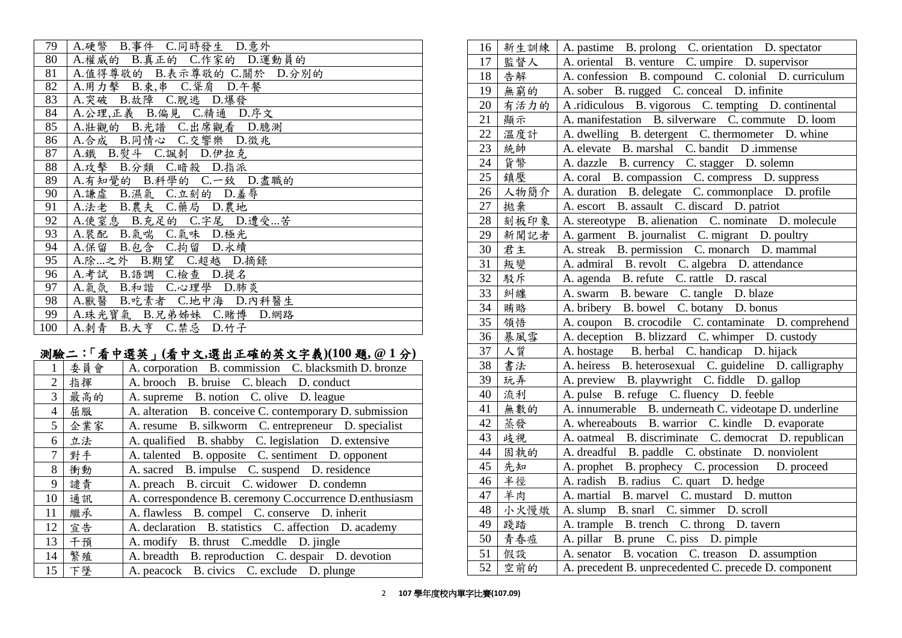| 79  | A.硬幣 B.事件 C.同時發生 D.意外       |
|-----|-----------------------------|
| 80  | A.權威的 B.真正的 C.作家的 D.運動員的    |
| 81  | A.值得尊敬的 B.表示尊敬的 C.關於 D.分別的  |
| 82  | A.用力擊 B.束,串 C.聳肩 D.午餐       |
| 83  | A. 突破 B. 故障 C. 脫逃 D. 爆發     |
| 84  | A.公理,正義 B.偏見 C.精通 D.序文      |
| 85  | A. 壯觀的 B. 光譜 C. 出席觀看 D. 臆測  |
| 86  | A.合成 B.同情心 C.交響樂 D.徵兆       |
| 87  | A. 鐵 B. 熨斗 C. 諷刺 D. 伊拉克     |
| 88  | A.攻擊 B.分類 C.暗殺 D.指派         |
| 89  | A.有知覺的 B.科學的 C.一致 D.盡職的     |
| 90  | A.謙虛 B.濕氣 C.立刻的 D.羞辱        |
| 91  | A.法老 B.農夫 C.藥局 D.農地         |
| 92  | A.使窒息 B.充足的 C.字尾 D.遭受苦      |
| 93  | A.裝配 B.氣喘 C.氣味 D.極光         |
| 94  | A.保留 B.包含 C.拘留 D.永續         |
| 95  | A.除  之外 B.期望 C.超越 D.摘錄      |
| 96  | A.考試 B.語調 C.檢查 D.提名         |
| 97  | A.氣氛 B.和諧 C.心理學 D.肺炎        |
| 98  | A. 獸醫 B. 吃素者 C. 地中海 D. 內科醫生 |
| 99  | A.珠光寶氣 B.兄弟姊妹 C.賭博 D.網路     |
| 100 | A.刺青 B.大亨 C.禁忌 D.竹子         |

# 測驗二:「看中選英」**(**看中文**,**選出正確的英文字義**)(100** 題**, @ 1** 分**)**

| 1              | 委員會 | A. corporation B. commission C. blacksmith D. bronze    |
|----------------|-----|---------------------------------------------------------|
| 2              | 指揮  | A. brooch B. bruise C. bleach D. conduct                |
| $\overline{3}$ | 最高的 | A. supreme B. notion C. olive D. league                 |
| $\overline{4}$ | 屈服  | A. alteration B. conceive C. contemporary D. submission |
| 5              | 企業家 | A. resume B. silkworm C. entrepreneur D. specialist     |
| 6              | 立法  | A. qualified B. shabby C. legislation D. extensive      |
| $\overline{7}$ | 對手  | A. talented B. opposite C. sentiment D. opponent        |
| 8              | 衝動  | A. sacred B. impulse C. suspend D. residence            |
| 9              | 譴責  | A. preach B. circuit C. widower D. condemn              |
| 10             | 通訊  | A. correspondence B. ceremony C.occurrence D.enthusiasm |
| 11             | 繼承  | A. flawless B. compel C. conserve D. inherit            |
| 12             | 宣告  | A. declaration B. statistics C. affection D. academy    |
| 13             | 千預  | A. modify B. thrust C. meddle D. jingle                 |
| 14             | 繁殖  | A. breadth B. reproduction C. despair D. devotion       |
| 15             | 下墜  | A. peacock B. civics C. exclude D. plunge               |

| 16 | 新生訓練 | A. pastime B. prolong C. orientation D. spectator      |
|----|------|--------------------------------------------------------|
| 17 | 監督人  | A. oriental B. venture C. umpire D. supervisor         |
| 18 | 告解   | A. confession B. compound C. colonial D. curriculum    |
| 19 | 無窮的  | A. sober B. rugged C. conceal D. infinite              |
| 20 | 有活力的 | A ridiculous B. vigorous C. tempting D. continental    |
| 21 | 顯示   | A. manifestation B. silverware C. commute D. loom      |
| 22 | 溫度計  | A. dwelling B. detergent C. thermometer D. whine       |
| 23 | 統帥   | A. elevate B. marshal C. bandit D. immense             |
| 24 | 貨幣   | A. dazzle B. currency C. stagger D. solemn             |
| 25 | 鎮壓   | A. coral B. compassion C. compress D. suppress         |
| 26 | 人物簡介 | A. duration B. delegate C. commonplace D. profile      |
| 27 | 拋棄   | A. escort B. assault C. discard D. patriot             |
| 28 | 刻板印象 | A. stereotype B. alienation C. nominate D. molecule    |
| 29 | 新聞記者 | A. garment B. journalist C. migrant D. poultry         |
| 30 | 君主   | A. streak B. permission C. monarch D. mammal           |
| 31 | 叛變   | A. admiral B. revolt C. algebra D. attendance          |
| 32 | 駁斥   | A. agenda B. refute C. rattle D. rascal                |
| 33 | 糾纏   | A. swarm B. beware C. tangle D. blaze                  |
| 34 | 賄賂   | A. bribery B. bowel C. botany D. bonus                 |
| 35 | 領悟   | A. coupon B. crocodile C. contaminate D. comprehend    |
| 36 | 暴風雪  | A. deception B. blizzard C. whimper D. custody         |
| 37 | 人質   | A. hostage B. herbal C. handicap D. hijack             |
| 38 | 書法   | A. heiress B. heterosexual C. guideline D. calligraphy |
| 39 | 玩弄   | A. preview B. playwright C. fiddle D. gallop           |
| 40 | 流利   | A. pulse B. refuge C. fluency D. feeble                |
| 41 | 無數的  | A. innumerable B. underneath C. videotape D. underline |
| 42 | 蒸發   | A. whereabouts B. warrior C. kindle D. evaporate       |
| 43 | 歧視   | A. oatmeal B. discriminate C. democrat D. republican   |
| 44 | 固執的  | A. dreadful B. paddle C. obstinate D. nonviolent       |
| 45 | 先知   | A. prophet B. prophecy C. procession D. proceed        |
| 46 | 半徑   | A. radish B. radius C. quart D. hedge                  |
| 47 | 羊肉   | A. martial B. marvel C. mustard D. mutton              |
| 48 | 小火慢燉 | A. slump B. snarl C. simmer D. scroll                  |
| 49 | 踐踏   | A. trample B. trench C. throng D. tavern               |
| 50 | 青春痘  | A. pillar B. prune C. piss D. pimple                   |
| 51 | 假設   | A. senator B. vocation C. treason D. assumption        |
| 52 | 空前的  | A. precedent B. unprecedented C. precede D. component  |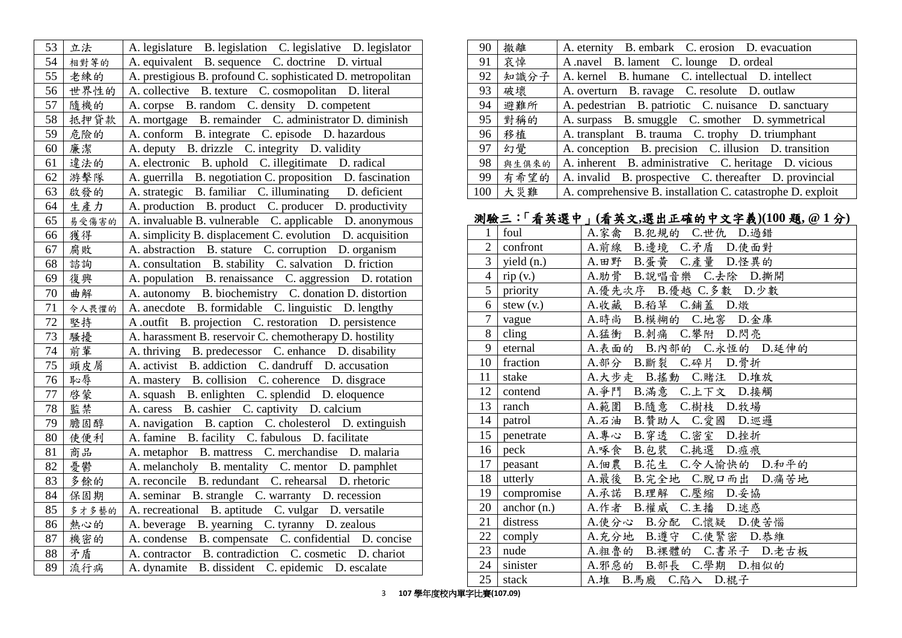| 53     | 立法    | A. legislature B. legislation C. legislative D. legislator  |
|--------|-------|-------------------------------------------------------------|
| 54     | 相對等的  | A. equivalent B. sequence C. doctrine D. virtual            |
| 55     | 老練的   | A. prestigious B. profound C. sophisticated D. metropolitan |
| 56     | 世界性的  | A. collective B. texture C. cosmopolitan D. literal         |
| 57     | 隨機的   | A. corpse B. random C. density D. competent                 |
| 58     | 抵押貸款  | A. mortgage B. remainder C. administrator D. diminish       |
| 59     | 危險的   | A. conform B. integrate C. episode D. hazardous             |
| 60     | 廉潔    | A. deputy B. drizzle C. integrity D. validity               |
| 61     | 違法的   | A. electronic B. uphold C. illegitimate D. radical          |
| 62     | 游擊隊   | A. guerrilla B. negotiation C. proposition D. fascination   |
| 63     | 啟發的   | A. strategic B. familiar C. illuminating D. deficient       |
| 64     | 生產力   | A. production B. product C. producer D. productivity        |
| 65     | 易受傷害的 | A. invaluable B. vulnerable C. applicable D. anonymous      |
| 66     | 獲得    | A. simplicity B. displacement C. evolution D. acquisition   |
| 67     | 腐敗    | A. abstraction B. stature C. corruption D. organism         |
| 68     | 諮詢    | A. consultation B. stability C. salvation D. friction       |
| 69     | 復興    | A. population B. renaissance C. aggression D. rotation      |
| 70     | 曲解    | A. autonomy B. biochemistry C. donation D. distortion       |
| $71\,$ | 令人畏懼的 | A. anecdote B. formidable C. linguistic D. lengthy          |
| 72     | 堅持    | A outfit B. projection C. restoration D. persistence        |
| 73     | 騷擾    | A. harassment B. reservoir C. chemotherapy D. hostility     |
| 74     | 前輩    | A. thriving B. predecessor C. enhance D. disability         |
| 75     | 頭皮屑   | A. activist B. addiction C. dandruff D. accusation          |
| 76     | 恥辱    | A. mastery B. collision C. coherence D. disgrace            |
| 77     | 啓蒙    | A. squash B. enlighten C. splendid D. eloquence             |
| 78     | 監禁    | A. caress B. cashier C. captivity D. calcium                |
| 79     | 膽固醇   | A. navigation B. caption C. cholesterol D. extinguish       |
| 80     | 使便利   | A. famine B. facility C. fabulous D. facilitate             |
| 81     | 商品    | A. metaphor B. mattress C. merchandise D. malaria           |
| 82     | 憂鬱    | A. melancholy B. mentality C. mentor D. pamphlet            |
| 83     | 多餘的   | A. reconcile B. redundant C. rehearsal D. rhetoric          |
| 84     | 保固期   | B. strangle C. warranty D. recession<br>A. seminar          |
| 85     | 多才多藝的 | A. recreational B. aptitude C. vulgar D. versatile          |
| 86     | 熱心的   | A. beverage B. yearning C. tyranny D. zealous               |
| 87     | 機密的   | A. condense B. compensate C. confidential D. concise        |
| 88     | 矛盾    | A. contractor B. contradiction C. cosmetic D. chariot       |
| 89     | 流行病   | A. dynamite B. dissident C. epidemic D. escalate            |

| 90  | 撤離    | A. eternity B. embark C. erosion D. evacuation             |
|-----|-------|------------------------------------------------------------|
| 91  | 哀悼    | A navel B. lament C. lounge D. ordeal                      |
| 92  |       | 知識分子   A. kernel B. humane C. intellectual D. intellect    |
| 93  | 破壞    | A. overturn B. ravage C. resolute D. outlaw                |
| 94  | 避難所   | A. pedestrian B. patriotic C. nuisance D. sanctuary        |
| 95  | 對稱的   | A. surpass B. smuggle C. smother D. symmetrical            |
| 96  | 移植    | A. transplant B. trauma C. trophy D. triumphant            |
| 97  | 幻覺    | A. conception B. precision C. illusion D. transition       |
| 98  | 與生俱來的 | A. inherent B. administrative C. heritage D. vicious       |
| 99  | 有希望的  | A. invalid B. prospective C. thereafter D. provincial      |
| 100 | 大災難   | A. comprehensive B. installation C. catastrophe D. exploit |

## 測驗三:「看英選中」**(**看英文**,**選出正確的中文字義**)(100** 題**, @ 1** 分**)**

| 1              | foul           | A.家禽 B.犯規的 C.世仇 D.過錯      |
|----------------|----------------|---------------------------|
| $\overline{2}$ | confront       | A.前線 B.邊境 C.矛盾 D.使面對      |
| $\mathfrak{Z}$ | yield (n.)     | A.田野 B.蛋黄 C.產量 D.怪異的      |
| $\overline{4}$ | rip(v.)        | A.肋骨 B.說唱音樂 C.去除 D.撕開     |
| 5              | priority       | A.優先次序 B.優越 C.多數 D.少數     |
| 6              | stew $(v.)$    | A.收藏 B.稻草 C.鋪蓋 D.燉        |
| $\overline{7}$ | vague          | A.時尚 B.模糊的 C.地窖 D.金庫      |
| 8              | $\text{cling}$ | A.猛衝 B.刺痛 C.攀附 D.閃亮       |
| 9              | eternal        | A.表面的 B.内部的 C.永恆的 D.延伸的   |
| 10             | fraction       | A.部分 B.斷裂 C.碎片 D.骨折       |
| 11             | stake          | A.大步走 B.搖動 C.賭注 D.堆放      |
| 12             | contend        | A.爭鬥 B.滿意 C.上下文 D.接觸      |
| 13             | ranch          | A.範圍 B.隨意 C.樹枝 D.牧場       |
| 14             | patrol         | A.石油 B.贊助人 C.愛國 D.巡邏      |
| 15             | penetrate      | A.專心 B.穿透 C.密室 D.挫折       |
| 16             | peck           | A.啄食 B.包裝 C.挑選 D.痘痕       |
| 17             | peasant        | A.佃農 B.花生 C.令人愉快的 D.和平的   |
| 18             | utterly        | A.最後 B.完全地 C.脫口而出 D.痛苦地   |
| 19             | compromise     | A.承諾 B.理解 C.壓縮 D.妥協       |
| 20             | anchor (n.)    | A.作者 B.權威 C.主播 D.述惑       |
| 21             | distress       | A.使分心 B.分配 C.懷疑 D.使苦惱     |
| 22             | comply         | A. 充分地 B. 遵守 C. 使緊密 D. 恭維 |
| 23             | nude           | A.粗魯的 B.裸體的 C.書呆子 D.老古板   |
| 24             | sinister       | A.邪惡的 B.部長 C.學期 D.相似的     |
| 25             | stack          | A.堆 B.馬廄 C.陷入 D.棍子        |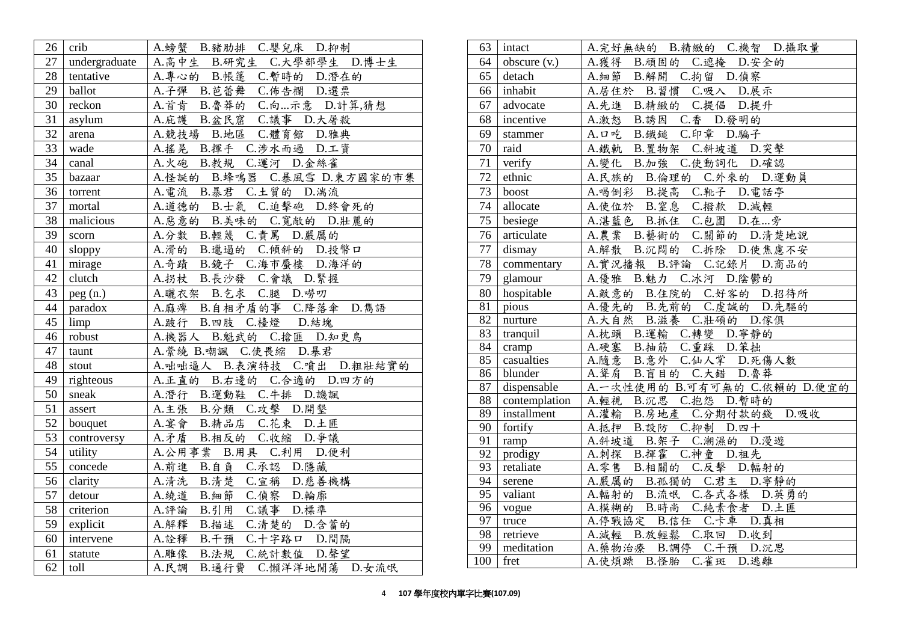| 26 | crib          | A.螃蟹 B.豬肋排 C.嬰兒床 D.抑制           |
|----|---------------|---------------------------------|
| 27 | undergraduate | A.高中生 B.研究生 C.大學部學生 D.博士生       |
| 28 | tentative     | A.專心的 B.帳篷 C.暫時的 D.潛在的          |
| 29 | ballot        | A.子彈 B.芭蕾舞 C.佈告欄 D.選票           |
| 30 | reckon        | A.首肯 B. 鲁莽的 C.向示意 D. 計算,猜想      |
| 31 | asylum        | A.庇護 B.盆民窟 C.議事 D.大屠殺           |
| 32 | arena         | A. 競技場 B. 地區 C. 體育館 D. 雅典       |
| 33 | wade          | A.搖晃 B.揮手 C.涉水而過 D.工資           |
| 34 | canal         | A.火砲 B.教規 C.運河 D.金絲雀            |
| 35 | bazaar        | A.怪誕的 B.蜂鳴器 C.暴風雪 D.東方國家的市集     |
| 36 | torrent       | A.電流 B.暴君 C.土質的 D.湍流            |
| 37 | mortal        | A.道德的 B.士氣 C.迫擊砲 D.終會死的         |
| 38 | malicious     | A.惡意的 B.美味的 C.寬敞的 D.壯麗的         |
| 39 | scorn         | A.分數 B.輕蔑 C.責罵 D.嚴厲的            |
| 40 | sloppy        | A.滑的 B.邋遢的 C.傾斜的 D.投幣口          |
| 41 | mirage        | A.奇蹟 B.鏡子 C.海市蜃樓 D.海洋的          |
| 42 | clutch        | A.拐杖 B.長沙發 C.會議 D.緊握            |
| 43 | peg(n.)       | A.曬衣架 B.乞求 C.腿 D.嘮叨             |
| 44 | paradox       | A.麻痺 B.自相矛盾的事 C.降落傘 D.雋語        |
| 45 | limp          | A.跛行 B.四肢 C.檯燈 D.結塊             |
| 46 | robust        | A.機器人 B.魁武的 C.搶匪 D.知更鳥          |
| 47 | taunt         | A. 縈繞 B. 嘲諷 C. 使畏缩 D. 暴君        |
| 48 | stout         | A.咄咄逼人 B.表演特技 C.噴出 D.粗壮結實的      |
| 49 | righteous     | A.正直的 B.右邊的 C.合適的 D.四方的         |
| 50 | sneak         | A.潛行 B.運動鞋 C.牛排 D.譏諷            |
| 51 | assert        | A.主張 B.分類 C.攻擊 D.開墾             |
| 52 | bouquet       | A.宴會 B.精品店 C.花束 D.土匪            |
| 53 | controversy   | A.矛盾 B.相反的 C.收缩 D.爭議            |
| 54 | utility       | A.公用事業 B.用具 C.利用 D.便利           |
| 55 | concede       | A. 前進 B. 自負 C. 承認 D. 隱藏         |
| 56 | clarity       | A.清洗 B.清楚 C.宣稱 D.慈善機構           |
| 57 | detour        | A.繞道 B.細節 C.偵察 D.輪廓             |
| 58 | criterion     | B.引用 C.議事 D.標準<br>A.評論          |
| 59 | explicit      | B.描述 C.清楚的 D.含蓄的<br>A.解釋        |
| 60 | intervene     | A.詮釋 B.干預 C.十字路口 D.間隔           |
| 61 | statute       | A.雕像 B.法規 C.統計數值 D.聲望           |
| 62 | toll          | A.民調<br>B. 通行費 C. 懶洋洋地閒蕩 D. 女流氓 |

| 63              | intact         | A.完好無缺的 B.精緻的 C.機智 D.攝取量     |
|-----------------|----------------|------------------------------|
| 64              | obscure $(v.)$ | A.獲得 B.頑固的 C.遮掩 D.安全的        |
| 65              | detach         | A. 細節 B. 解開 C. 拘留 D. 偵察      |
| 66              | inhabit        | A.居住於 B.習慣 C.吸入 D.展示         |
| 67              | advocate       | B.精緻的 C.提倡 D.提升<br>A.先進      |
| 68              | incentive      | A.激怒 B.誘因 C.香 D.發明的          |
| 69              | stammer        | A.口吃 B.鐵鎚 C.印章 D.騙子          |
| 70              | raid           | A.鐵軌 B.置物架 C.斜坡道 D.突擊        |
| 71              | verify         | A.變化 B.加強 C.使動詞化 D.確認        |
| 72              | ethnic         | A.民族的 B.倫理的 C.外來的 D.運動員      |
| 73              | boost          | A.喝倒彩 B.提高 C.靴子 D.電話亭        |
| 74              | allocate       | A.使位於 B.窒息 C.撥款 D.減輕         |
| 75              | besiege        | A.湛藍色 B.抓住 C.包圍 D.在旁         |
| 76              | articulate     | A.農業 B.藝術的 C.關節的 D.清楚地說      |
| 77              | dismay         | A.解散 B.沉悶的 C.拆除 D.使焦慮不安      |
| 78              | commentary     | A.實況播報 B.評論 C.記錄片 D.商品的      |
| 79              | glamour        | A.優雅 B.魅力 C.冰河 D.陰鬱的         |
| 80              | hospitable     | A.敵意的 B.住院的 C.好客的 D.招待所      |
| $\overline{81}$ | pious          | A.優先的 B.先前的 C.虔誠的 D.先驅的      |
| 82              | nurture        | A.大自然 B.滋養 C.壯碩的 D.傢俱        |
| 83              | tranquil       | A.枕頭 B.運輸 C.轉變 D.寧靜的         |
| 84              | cramp          | A.硬塞 B.抽筋 C.重踩 D.笨拙          |
| $\overline{85}$ | casualties     | A.隨意 B.意外 C.仙人掌 D.死傷人數       |
| 86              | blunder        | A. 聳肩 B. 盲目的 C. 大錯 D. 魯莽     |
| 87              | dispensable    | A.一次性使用的 B.可有可無的 C.依賴的 D.便宜的 |
| 88              | contemplation  | A.輕視 B.沉思 C.抱怨 D.暫時的         |
| 89              | installment    | A.灌輸 B.房地產 C.分期付款的錢 D.吸收     |
| 90              | fortify        | A.抵押 B.設防 C.抑制 D.四十          |
| 91              | ramp           | A.斜坡道 B.架子 C.潮濕的 D.漫遊        |
| 92              | prodigy        | A.刺探 B.揮霍 C.神童 D.祖先          |
| 93              | retaliate      | A. 零售 B. 相關的 C. 反擊 D. 輻射的    |
| 94              | serene         | A.嚴厲的 B.孤獨的 C.君主 D.寧靜的       |
| 95              | valiant        | A.輻射的 B.流氓 C.各式各樣 D.英勇的      |
| 96              | vogue          | A.模糊的 B.時尚 C.純素食者 D.土匪       |
| 97              | truce          | A.停戰協定 B.信任 C.卡車 D.真相        |
| 98              | retrieve       | B.放輕鬆 C.取回 D.收到<br>A.減輕      |
| 99              | meditation     | A. 藥物治療 B. 調停 C. 干預<br>D.沉思  |
| 100             | fret           | A.使煩躁 B.怪胎 C.雀斑 D.逃離         |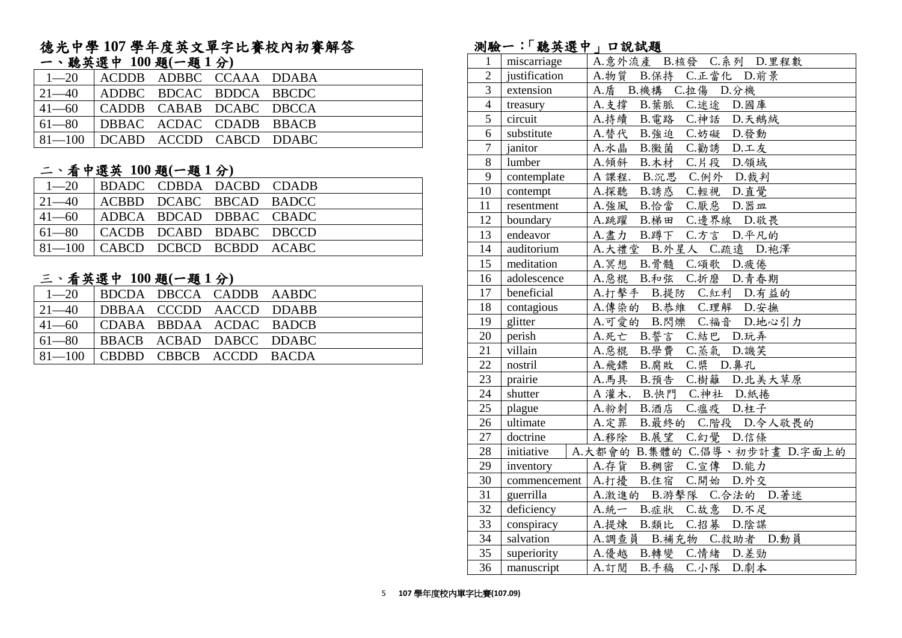#### 德光中學 **107** 學年度英文單字比賽校內初賽解答 一、聽英選中 **100** 題**(**一題 **1** 分**)**

| $1 - 20$                              | ACDDB ADBBC CCAAA DDABA |  |  |
|---------------------------------------|-------------------------|--|--|
| $ 21-40 $ ADDBC BDCAC BDDCA BBCDC     |                         |  |  |
| $ 41-60 $ $ $ CADDB CABAB DCABC DBCCA |                         |  |  |
| $ 61-80 $ DBBAC ACDAC CDADB BBACB     |                         |  |  |
| 81-100   DCABD ACCDD CABCD DDABC      |                         |  |  |

#### 二、看中選英 **100** 題**(**一題 **1** 分**)**

| $1 - 20$                                      | BDADC CDBDA DACBD CDADB |  |  |
|-----------------------------------------------|-------------------------|--|--|
| $ 21-40 $ $ ACBBD$ $DCABC$ $BBCAD$ $BADCC$    |                         |  |  |
| $ 41-60 $ ADBCA BDCAD DBBAC CBADC             |                         |  |  |
| $\vert$ 61—80 $\vert$ CACDB DCABD BDABC DBCCD |                         |  |  |
| $81-100$ $CABCD$ DCBCD BCBDD ACABC            |                         |  |  |

#### 三、看英選中 **100** 題**(**一題 **1** 分**)**

| $\vert$ 1—20 $\vert$ BDCDA DBCCA CADDB AABDC  |  |  |  |
|-----------------------------------------------|--|--|--|
| $ 21-40 $ DBBAA CCCDD AACCD DDABB             |  |  |  |
| $ 41-60 $ CDABA BBDAA ACDAC BADCB             |  |  |  |
| $\vert$ 61—80 $\vert$ BBACB ACBAD DABCC DDABC |  |  |  |
| $81-100$ CBDBD CBBCB ACCDD BACDA              |  |  |  |

### 測驗一:「聽英選中」口說試題

| ハリウス           | <b>NO 2 2 1</b> | $\sim$ 00 PVA                      |
|----------------|-----------------|------------------------------------|
| 1              | miscarriage     | A.意外流產 B.核發 C.系列 D.里程數             |
| $\overline{2}$ | justification   | A.物質 B.保持 C.正當化 D.前景               |
| $\overline{3}$ | extension       | A.盾 B.機構 C.拉傷 D.分機                 |
| $\overline{4}$ | treasury        | A.支撐 B.葉脈 C.迷途 D.國庫                |
| $\overline{5}$ | circuit         | A.持續 B.電路 C.神話 D.天鵝絨               |
| 6              | substitute      | A.替代 B.強迫 C.妨礙 D.發動                |
| $\overline{7}$ | janitor         | A.水晶<br>B.黴菌 C.勸誘 D.工友             |
| $8\,$          | lumber          | A.傾斜 B.木材 C.片段 D.領域                |
| 9              | contemplate     | A 課程. B.沉思 C.例外 D.裁判               |
| 10             | contempt        | A.探聽 B.誘惑 C.輕視 D.直覺                |
| 11             | resentment      | A. 強風 B. 恰當 C. 厭惡 D. 器皿            |
| 12             | boundary        | A.跳躍 B.梯田 C.邊界線 D.敬畏               |
| 13             | endeavor        | A.盡力 B.蹲下 C.方言 D.平凡的               |
| 14             | auditorium      | A.大禮堂 B.外星人 C.疏遠 D.袍澤              |
| 15             | meditation      | A.冥想 B.骨髓 C.頌歌 D.疲倦                |
| 16             | adolescence     | A.惡棍 B.和弦 C.折磨 D.青春期               |
| 17             | beneficial      | A.打擊手 B.提防 C.紅利 D.有益的              |
| 18             | contagious      | A.傳染的 B.恭維 C.理解 D.安撫               |
| 19             | glitter         | A.可愛的 B.閃爍 C.福音 D.地心引力             |
| 20             | perish          | A.死亡 B.誓言 C.結巴 D.玩弄                |
| 21             | villain         | A. 惡棍 B. 學費 C. 蒸氣 D. 譏笑            |
| 22             | nostril         | A. 飛鏢 B. 腐敗 C. 槳 D. 鼻孔             |
| 23             | prairie         | A.馬具 B.預告 C.樹籬 D.北美大草原             |
| 24             | shutter         | A 灌木. B.快門 C.神社 D.紙捲               |
| 25             | plague          | A.粉刺 B.酒店 C.瘟疫 D.柱子                |
| 26             | ultimate        | A.定罪 B.最終的 C.階段 D.令人敬畏的            |
| 27             | doctrine        | A.移除 B.展望 C.幻覺 D.信條                |
| 28             | initiative      | A.大都會的 B.集體的 C.倡導、初步計畫 D.字面上的      |
| 29             | inventory       | A.存貨 B.稠密 C.宣傳 D.能力                |
| 30             |                 | commencement   A.打擾 B.住宿 C.開始 D.外交 |
| 31             | guerrilla       | A.激進的 B.游擊隊 C.合法的 D.著迷             |
| 32             | deficiency      | A.統一 B.症狀 C.故意 D.不足                |
| 33             | conspiracy      | A.提煉 B.類比 C.招募 D.陰謀                |
| 34             | salvation       | A.調查員 B.補充物 C.救助者 D.動員             |
| 35             | superiority     | A.優越 B.轉變 C.情緒 D.差勁                |
| 36             | manuscript      | B.手稿<br>A.訂閱<br>C.小隊<br>D.劇本       |